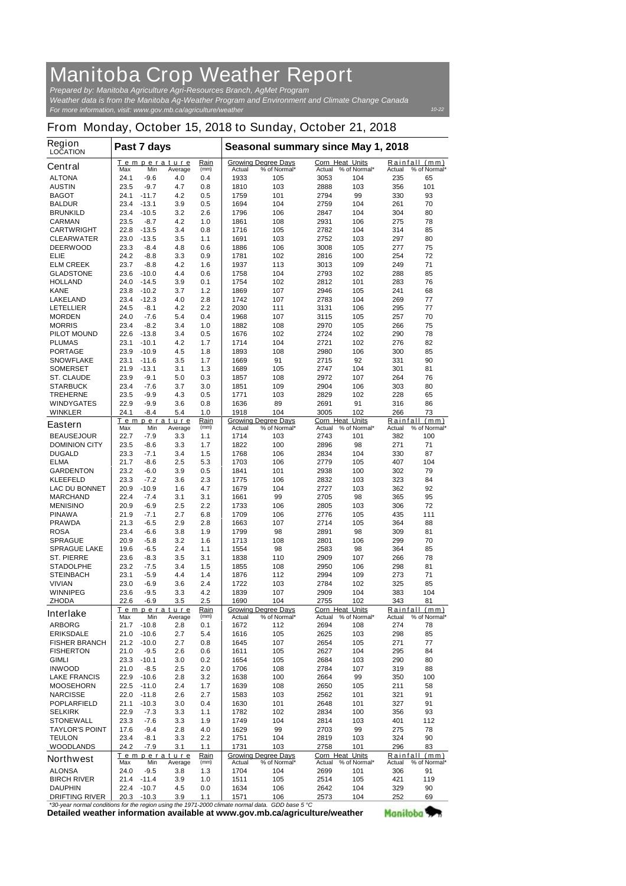## **Manitoba Crop Weather Report** *Prepared by: Manitoba Agriculture Agri-Resources Branch, AgMet Program*

*For more information, visit: www.gov.mb.ca/agriculture/weather Weather data is from the Manitoba Ag-Weather Program and Environment and Climate Change Canada*

## **From Monday, October 15, 2018 to Sunday, October 21, 2018**

| <b>Region</b><br><b>LOCATION</b>          | Past 7 days  |                    |                        |              | Seasonal summary since May 1, 2018                                      |                                            |                           |                     |            |                               |
|-------------------------------------------|--------------|--------------------|------------------------|--------------|-------------------------------------------------------------------------|--------------------------------------------|---------------------------|---------------------|------------|-------------------------------|
| <b>Central</b>                            | Max          | Min                | Temperature<br>Average | Rain<br>(mm) | Actual                                                                  | <b>Growing Degree Days</b><br>% of Normal* | Corn Heat Units<br>Actual | % of Normal*        | Actual     | Rainfall (mm)<br>% of Normal* |
| <b>ALTONA</b>                             | 24.1         | $-9.6$             | 4.0                    | 0.4          | 1933                                                                    | 105                                        | 3053                      | 104                 | 235        | 65                            |
| <b>AUSTIN</b>                             | 23.5         | $-9.7$             | 4.7                    | 0.8          | 1810                                                                    | 103                                        | 2888                      | 103                 | 356        | 101                           |
| <b>BAGOT</b>                              | 24.1         | $-11.7$            | 4.2                    | 0.5          | 1759                                                                    | 101                                        | 2794                      | 99                  | 330        | 93                            |
| <b>BALDUR</b>                             | 23.4         | $-13.1$            | 3.9                    | 0.5          | 1694                                                                    | 104                                        | 2759                      | 104                 | 261        | 70                            |
| <b>BRUNKILD</b>                           | 23.4         | $-10.5$            | 3.2<br>4.2             | 2.6<br>1.0   | 1796                                                                    | 106                                        | 2847                      | 104<br>106          | 304        | 80<br>78                      |
| <b>CARMAN</b><br><b>CARTWRIGHT</b>        | 23.5<br>22.8 | $-8.7$<br>$-13.5$  | 3.4                    | 0.8          | 1861<br>1716                                                            | 108<br>105                                 | 2931<br>2782              | 104                 | 275<br>314 | 85                            |
| <b>CLEARWATER</b>                         | 23.0         | $-13.5$            | 3.5                    | 1.1          | 1691                                                                    | 103                                        | 2752                      | 103                 | 297        | 80                            |
| <b>DEERWOOD</b>                           | 23.3         | $-8.4$             | 4.8                    | 0.6          | 1886                                                                    | 106                                        | 3008                      | 105                 | 277        | 75                            |
| <b>ELIE</b>                               | 24.2         | $-8.8$             | 3.3                    | 0.9          | 1781                                                                    | 102                                        | 2816                      | 100                 | 254        | 72                            |
| <b>ELM CREEK</b>                          | 23.7         | $-8.8$             | 4.2                    | 1.6          | 1937                                                                    | 113                                        | 3013                      | 109                 | 249        | 71                            |
| <b>GLADSTONE</b>                          | 23.6         | $-10.0$            | 4.4                    | 0.6          | 1758                                                                    | 104                                        | 2793                      | 102                 | 288        | 85                            |
| <b>HOLLAND</b>                            | 24.0         | $-14.5$            | 3.9                    | 0.1          | 1754                                                                    | 102                                        | 2812                      | 101                 | 283        | 76                            |
| <b>KANE</b>                               | 23.8         | $-10.2$            | 3.7                    | 1.2          | 1869                                                                    | 107                                        | 2946                      | 105                 | 241        | 68                            |
| <b>LAKELAND</b><br><b>LETELLIER</b>       | 23.4<br>24.5 | $-12.3$<br>$-8.1$  | 4.0<br>4.2             | 2.8<br>2.2   | 1742<br>2030                                                            | 107<br>111                                 | 2783<br>3131              | 104<br>106          | 269<br>295 | 77<br>77                      |
| <b>MORDEN</b>                             | 24.0         | $-7.6$             | 5.4                    | 0.4          | 1968                                                                    | 107                                        | 3115                      | 105                 | 257        | 70                            |
| <b>MORRIS</b>                             | 23.4         | $-8.2$             | 3.4                    | 1.0          | 1882                                                                    | 108                                        | 2970                      | 105                 | 266        | 75                            |
| <b>PILOT MOUND</b>                        | 22.6         | $-13.8$            | 3.4                    | 0.5          | 1676                                                                    | 102                                        | 2724                      | 102                 | 290        | 78                            |
| <b>PLUMAS</b>                             | 23.1         | $-10.1$            | 4.2                    | 1.7          | 1714                                                                    | 104                                        | 2721                      | 102                 | 276        | 82                            |
| <b>PORTAGE</b>                            | 23.9         | $-10.9$            | 4.5                    | 1.8          | 1893                                                                    | 108                                        | 2980                      | 106                 | 300        | 85                            |
| <b>SNOWFLAKE</b>                          | 23.1         | $-11.6$            | 3.5                    | 1.7          | 1669                                                                    | 91                                         | 2715                      | 92                  | 331        | 90                            |
| <b>SOMERSET</b>                           | 21.9         | $-13.1$            | 3.1                    | 1.3          | 1689                                                                    | 105                                        | 2747                      | 104                 | 301        | 81                            |
| <b>ST. CLAUDE</b>                         | 23.9         | $-9.1$             | 5.0                    | 0.3          | 1857                                                                    | 108                                        | 2972                      | 107                 | 264        | 76                            |
| <b>STARBUCK</b>                           | 23.4         | $-7.6$             | 3.7                    | 3.0          | 1851                                                                    | 109                                        | 2904                      | 106                 | 303        | 80                            |
| <b>TREHERNE</b>                           | 23.5<br>22.9 | $-9.9$<br>$-9.9$   | 4.3                    | 0.5          | 1771<br>1636                                                            | 103<br>89                                  | 2829<br>2691              | 102<br>91           | 228<br>316 | 65<br>86                      |
| <b>WINDYGATES</b><br><b>WINKLER</b>       | 24.1         | $-8.4$             | 3.6<br>5.4             | 0.8<br>1.0   | 1918                                                                    | 104                                        | 3005                      | 102                 | 266        | 73                            |
|                                           |              |                    | Temperature            | Rain         |                                                                         | <b>Growing Degree Days</b>                 | <b>Corn Heat Units</b>    |                     | Rainfall   | (mm)                          |
| <b>Eastern</b>                            | Max          | Min                | Average                | (mm)         | Actual                                                                  | % of Normal*                               | Actual                    | % of Normal*        | Actual     | % of Normal*                  |
| <b>BEAUSEJOUR</b>                         | 22.7         | $-7.9$             | 3.3                    | 1.1          | 1714                                                                    | 103                                        | 2743                      | 101                 | 382        | 100                           |
| <b>DOMINION CITY</b>                      | 23.5         | $-8.6$             | 3.3                    | 1.7          | 1822                                                                    | 100                                        | 2896                      | 98                  | 271        | 71                            |
| <b>DUGALD</b>                             | 23.3         | $-7.1$             | 3.4                    | 1.5          | 1768                                                                    | 106                                        | 2834                      | 104                 | 330        | 87                            |
| <b>ELMA</b><br><b>GARDENTON</b>           | 21.7<br>23.2 | $-8.6$<br>$-6.0$   | 2.5                    | 5.3          | 1703                                                                    | 106                                        | 2779                      | 105                 | 407        | 104<br>79                     |
| <b>KLEEFELD</b>                           | 23.3         | $-7.2$             | 3.9<br>3.6             | 0.5<br>2.3   | 1841<br>1775                                                            | 101<br>106                                 | 2938<br>2832              | 100<br>103          | 302<br>323 | 84                            |
| <b>LAC DU BONNET</b>                      | 20.9         | $-10.9$            | 1.6                    | 4.7          | 1679                                                                    | 104                                        | 2727                      | 103                 | 362        | 92                            |
| <b>MARCHAND</b>                           | 22.4         | $-7.4$             | 3.1                    | 3.1          | 1661                                                                    | 99                                         | 2705                      | 98                  | 365        | 95                            |
| <b>MENISINO</b>                           | 20.9         | $-6.9$             | 2.5                    | 2.2          | 1733                                                                    | 106                                        | 2805                      | 103                 | 306        | 72                            |
| <b>PINAWA</b>                             | 21.9         | $-7.1$             | 2.7                    | 6.8          | 1709                                                                    | 106                                        | 2776                      | 105                 | 435        | 111                           |
| <b>PRAWDA</b>                             | 21.3         | $-6.5$             | 2.9                    | 2.8          | 1663                                                                    | 107                                        | 2714                      | 105                 | 364        | 88                            |
| <b>ROSA</b>                               | 23.4         | $-6.6$             | 3.8                    | 1.9          | 1799                                                                    | 98                                         | 2891                      | 98                  | 309        | 81                            |
| <b>SPRAGUE</b>                            | 20.9         | $-5.8$             | 3.2                    | 1.6          | 1713                                                                    | 108                                        | 2801                      | 106                 | 299        | 70                            |
| <b>SPRAGUE LAKE</b>                       | 19.6         | $-6.5$             | 2.4                    | $1.1$        | 1554                                                                    | 98                                         | 2583                      | 98                  | 364        | 85                            |
| <b>ST. PIERRE</b>                         | 23.6         | $-8.3$             | 3.5                    | 3.1          | 1838                                                                    | 110                                        | 2909                      | 107                 | 266        | 78                            |
| <b>STADOLPHE</b><br><b>STEINBACH</b>      | 23.2<br>23.1 | -7.5<br>$-5.9$     | 3.4<br>4.4             | 1.5<br>1.4   | 1855<br>1876                                                            | 108<br>112                                 | 2950<br>2994              | 106<br>109          | 298<br>273 | 81<br>71                      |
| <b>VIVIAN</b>                             | 23.0         | $-6.9$             | 3.6                    | 2.4          | 1722                                                                    | 103                                        | 2784                      | 102                 | 325        | 85                            |
| <b>WINNIPEG</b>                           | 23.6         | $-9.5$             | 3.3                    | 4.2          | 1839                                                                    | 107                                        | 2909                      | 104                 | 383        | 104                           |
| <b>ZHODA</b>                              | 22.6         | $-6.9$             | 3.5                    | 2.5          | 1690                                                                    | 104                                        | 2755                      | 102                 | 343        | 81                            |
| <b>Interlake</b>                          |              |                    | <u>Temperature</u>     | Rain         |                                                                         | <b>Growing Degree Days</b>                 | <b>Corn Heat Units</b>    |                     |            | Rainfall (mm)                 |
|                                           | Max          | Min                | Average                | (mm)         | Actual                                                                  | % of Normal*                               | Actual                    | % of Normal*        | Actual     | % of Normal*                  |
| <b>ARBORG</b><br><b>ERIKSDALE</b>         | 21.7<br>21.0 | $-10.8$<br>$-10.6$ | 2.8<br>2.7             | 0.1<br>5.4   | 1672<br>1616                                                            | 112<br>105                                 | 2694<br>2625              | 108<br>103          | 274<br>298 | 78<br>85                      |
| <b>FISHER BRANCH</b>                      | 21.2         | $-10.0$            | 2.7                    | 0.8          | 1645                                                                    | 107                                        | 2654                      | 105                 | 271        | 77                            |
| <b>FISHERTON</b>                          | 21.0         | $-9.5$             | 2.6                    | 0.6          | 1611                                                                    | 105                                        | 2627                      | 104                 | 295        | 84                            |
| <b>GIMLI</b>                              | 23.3         | $-10.1$            | 3.0                    | 0.2          | 1654                                                                    | 105                                        | 2684                      | 103                 | 290        | 80                            |
| <b>INWOOD</b>                             | 21.0         | $-8.5$             | 2.5                    | 2.0          | 1706                                                                    | 108                                        | 2784                      | 107                 | 319        | 88                            |
| <b>LAKE FRANCIS</b>                       | 22.9         | $-10.6$            | 2.8                    | 3.2          | 1638                                                                    | 100                                        | 2664                      | 99                  | 350        | 100                           |
| <b>MOOSEHORN</b>                          | 22.5         | $-11.0$            | 2.4                    | 1.7          | 1639                                                                    | 108                                        | 2650                      | 105                 | 211        | 58                            |
| <b>NARCISSE</b>                           | 22.0         | $-11.8$            | 2.6                    | 2.7          | 1583                                                                    | 103                                        | 2562                      | 101                 | 321        | 91                            |
| <b>POPLARFIELD</b>                        | 21.1         | $-10.3$            | 3.0                    | 0.4          | 1630                                                                    | 101                                        | 2648                      | 101                 | 327        | 91                            |
| <b>SELKIRK</b>                            | 22.9         | $-7.3$             | 3.3                    | 1.1          | 1782                                                                    | 102                                        | 2834                      | 100                 | 356        | 93                            |
| <b>STONEWALL</b><br><b>TAYLOR'S POINT</b> | 23.3<br>17.6 | $-7.6$<br>$-9.4$   | 3.3<br>2.8             | 1.9<br>4.0   | 1749<br>1629                                                            | 104<br>99                                  | 2814<br>2703              | 103<br>99           | 401<br>275 | 112<br>78                     |
| <b>TEULON</b>                             | 23.4         | $-8.1$             | 3.3                    | 2.2          | 1751                                                                    | 104                                        | 2819                      | 103                 | 324        | 90                            |
| <b>WOODLANDS</b>                          | 24.2         | $-7.9$             | 3.1                    | 1.1          | 1731                                                                    | 103                                        | 2758                      | 101                 | 296        | 83                            |
| <b>Northwest</b>                          |              |                    | Temperature            | Rain         |                                                                         | <b>Growing Degree Days</b>                 | Corn Heat Units           |                     |            | Rainfall (mm)                 |
|                                           | Max          | Min                | Average                | (mm)         | Actual                                                                  | % of Normal*                               |                           | Actual % of Normal* | Actual     | % of Normal*                  |
| <b>ALONSA</b><br><b>BIRCH RIVER</b>       | 24.0<br>21.4 | $-9.5$<br>$-11.4$  | 3.8<br>3.9             | 1.3<br>1.0   | 1704<br>1511                                                            | 104<br>105                                 | 2699<br>2514              | 101<br>105          | 306<br>421 | 91<br>119                     |
| <b>DAUPHIN</b>                            | 22.4         | $-10.7$            | 4.5                    | 0.0          | 1634                                                                    | 106                                        | 2642                      | 104                 | 329        | 90                            |
| <b>DRIFTING RIVER</b>                     | 20.3         | $-10.3$            | 3.9                    | 1.1          | 1571                                                                    | 106                                        | 2573                      | 104                 | 252        | 69                            |
|                                           |              |                    |                        |              | ermal conditions for the region uping the 1071,2000 elimete nermal data | $CDD$ hoog $E \, \Omega$                   |                           |                     |            |                               |

**Detailed weather information available at www.gov.mb.ca/agriculture/weather** *\*30-year normal conditions for the region using the 1971-2000 climate normal data. GDD base 5 °C* Manitoba<sup>y</sup>